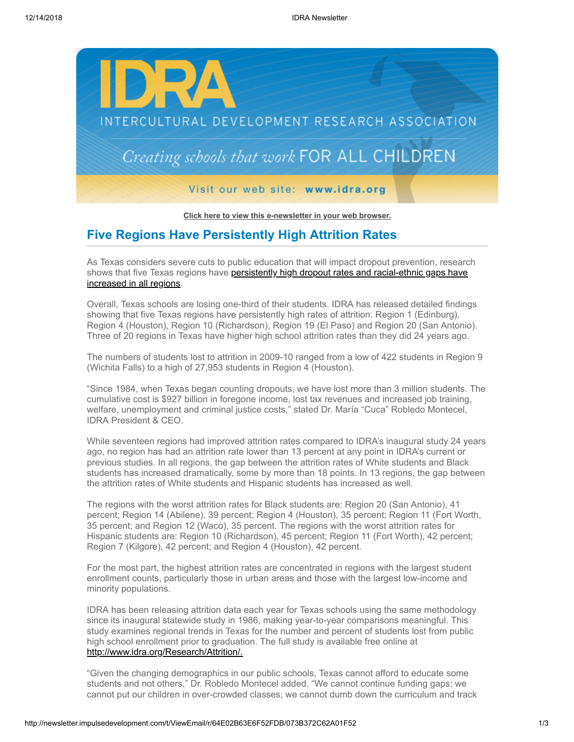

**[Click here to view this e-newsletter in your web browser.](http://newsletter.impulsedevelopment.com/t/r/e/jrdiddt/uyyhirl/)**

## **Five Regions Have Persistently High Attrition Rates**

As Texas considers severe cuts to public education that will impact dropout prevention, research [shows that five Texas regions have persistently high dropout rates and racial-ethnic gaps have](http://newsletter.impulsedevelopment.com/t/r/l/jrdiddt/uyyhirl/y/) increased in all regions.

Overall, Texas schools are losing one-third of their students. IDRA has released detailed findings showing that five Texas regions have persistently high rates of attrition: Region 1 (Edinburg), Region 4 (Houston), Region 10 (Richardson), Region 19 (El Paso) and Region 20 (San Antonio). Three of 20 regions in Texas have higher high school attrition rates than they did 24 years ago.

The numbers of students lost to attrition in 2009-10 ranged from a low of 422 students in Region 9 (Wichita Falls) to a high of 27,953 students in Region 4 (Houston).

"Since 1984, when Texas began counting dropouts, we have lost more than 3 million students. The cumulative cost is \$927 billion in foregone income, lost tax revenues and increased job training, welfare, unemployment and criminal justice costs," stated Dr. María "Cuca" Robledo Montecel, IDRA President & CEO.

While seventeen regions had improved attrition rates compared to IDRA's inaugural study 24 years ago, no region has had an attrition rate lower than 13 percent at any point in IDRA's current or previous studies. In all regions, the gap between the attrition rates of White students and Black students has increased dramatically, some by more than 18 points. In 13 regions, the gap between the attrition rates of White students and Hispanic students has increased as well.

The regions with the worst attrition rates for Black students are: Region 20 (San Antonio), 41 percent; Region 14 (Abilene), 39 percent; Region 4 (Houston), 35 percent; Region 11 (Fort Worth, 35 percent; and Region 12 (Waco), 35 percent. The regions with the worst attrition rates for Hispanic students are: Region 10 (Richardson), 45 percent; Region 11 (Fort Worth), 42 percent; Region 7 (Kilgore), 42 percent; and Region 4 (Houston), 42 percent.

For the most part, the highest attrition rates are concentrated in regions with the largest student enrollment counts, particularly those in urban areas and those with the largest low-income and minority populations.

IDRA has been releasing attrition data each year for Texas schools using the same methodology since its inaugural statewide study in 1986, making year-to-year comparisons meaningful. This study examines regional trends in Texas for the number and percent of students lost from public high school enrollment prior to graduation. The full study is available free online at [http://www.idra.org/Research/Attrition/.](http://newsletter.impulsedevelopment.com/t/r/l/jrdiddt/uyyhirl/j/)

"Given the changing demographics in our public schools, Texas cannot afford to educate some students and not others," Dr. Robledo Montecel added. "We cannot continue funding gaps; we cannot put our children in over-crowded classes; we cannot dumb down the curriculum and track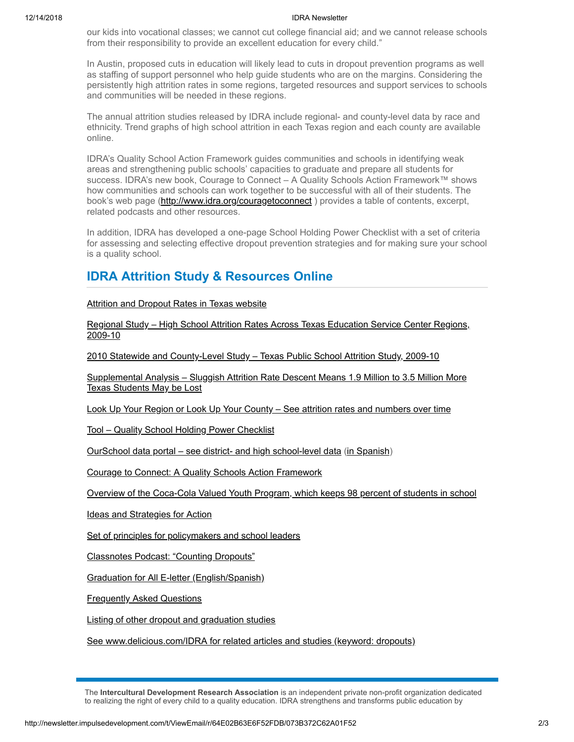## 12/14/2018 IDRA Newsletter

our kids into vocational classes; we cannot cut college financial aid; and we cannot release schools from their responsibility to provide an excellent education for every child."

In Austin, proposed cuts in education will likely lead to cuts in dropout prevention programs as well as staffing of support personnel who help guide students who are on the margins. Considering the persistently high attrition rates in some regions, targeted resources and support services to schools and communities will be needed in these regions.

The annual attrition studies released by IDRA include regional- and county-level data by race and ethnicity. Trend graphs of high school attrition in each Texas region and each county are available online.

IDRA's Quality School Action Framework guides communities and schools in identifying weak areas and strengthening public schools' capacities to graduate and prepare all students for success. IDRA's new book, Courage to Connect – A Quality Schools Action Framework™ shows how communities and schools can work together to be successful with all of their students. The book's web page (http://www.idra.org/couragetoconnect) provides a table of contents, excerpt, related podcasts and other resources.

In addition, IDRA has developed a one-page School Holding Power Checklist with a set of criteria for assessing and selecting effective dropout prevention strategies and for making sure your school is a quality school.

## **IDRA Attrition Study & Resources Online**

**[Attrition and Dropout Rates in Texas website](http://newsletter.impulsedevelopment.com/t/r/l/jrdiddt/uyyhirl/h/)** 

[Regional Study – High School Attrition Rates Across Texas Education Service Center Regions,](http://newsletter.impulsedevelopment.com/t/r/l/jrdiddt/uyyhirl/k/) 2009-10

[2010 Statewide and County-Level Study – Texas Public School Attrition Study, 2009-10](http://newsletter.impulsedevelopment.com/t/r/l/jrdiddt/uyyhirl/u/)

[Supplemental Analysis – Sluggish Attrition Rate Descent Means 1.9 Million to 3.5 Million More](http://newsletter.impulsedevelopment.com/t/r/l/jrdiddt/uyyhirl/o/) Texas Students May be Lost

[Look Up Your Region or Look Up Your County – See attrition rates and numbers over time](http://newsletter.impulsedevelopment.com/t/r/l/jrdiddt/uyyhirl/b/)

[Tool – Quality School Holding Power Checklist](http://newsletter.impulsedevelopment.com/t/r/l/jrdiddt/uyyhirl/n/)

[OurSchool data portal – see district- and high school-level data](http://newsletter.impulsedevelopment.com/t/r/l/jrdiddt/uyyhirl/p/) [\(in Spanish\)](http://newsletter.impulsedevelopment.com/t/r/l/jrdiddt/uyyhirl/x/)

[Courage to Connect: A Quality Schools Action Framework](http://newsletter.impulsedevelopment.com/t/r/l/jrdiddt/uyyhirl/m/)

[Overview of the Coca-Cola Valued Youth Program, which keeps 98 percent of students in school](http://newsletter.impulsedevelopment.com/t/r/l/jrdiddt/uyyhirl/c/)

[Ideas and Strategies for Action](http://newsletter.impulsedevelopment.com/t/r/l/jrdiddt/uyyhirl/q/)

[Set of principles for policymakers and school leaders](http://newsletter.impulsedevelopment.com/t/r/l/jrdiddt/uyyhirl/a/)

[Classnotes Podcast: "Counting Dropouts"](http://newsletter.impulsedevelopment.com/t/r/l/jrdiddt/uyyhirl/f/)

[Graduation for All E-letter \(English/Spanish\)](http://newsletter.impulsedevelopment.com/t/r/l/jrdiddt/uyyhirl/z/)

[Frequently Asked Questions](http://newsletter.impulsedevelopment.com/t/r/l/jrdiddt/uyyhirl/v/)

[Listing of other dropout and graduation studies](http://newsletter.impulsedevelopment.com/t/r/l/jrdiddt/uyyhirl/e/)

[See www.delicious.com/IDRA for related articles and studies \(keyword: dropouts\)](http://newsletter.impulsedevelopment.com/t/r/l/jrdiddt/uyyhirl/s/)

The **Intercultural Development Research Association** is an independent private non-profit organization dedicated to realizing the right of every child to a quality education. IDRA strengthens and transforms public education by